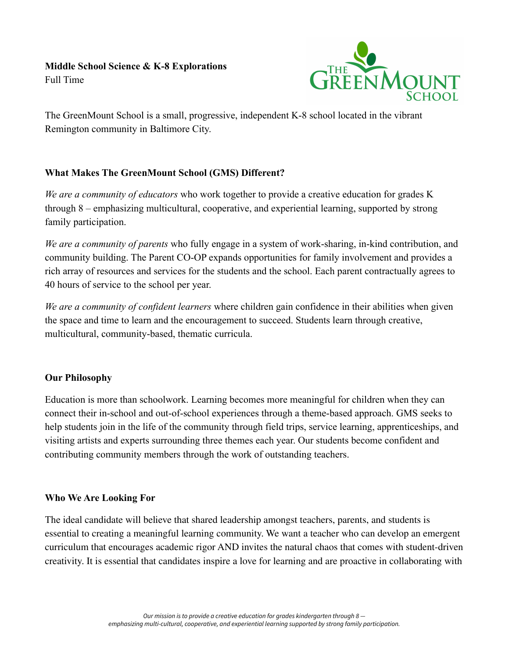

The GreenMount School is a small, progressive, independent K-8 school located in the vibrant Remington community in Baltimore City.

# **What Makes The GreenMount School (GMS) Different?**

*We are a community of educators* who work together to provide a creative education for grades K through 8 – emphasizing multicultural, cooperative, and experiential learning, supported by strong family participation.

*We are a community of parents* who fully engage in a system of work-sharing, in-kind contribution, and community building. The Parent CO-OP expands opportunities for family involvement and provides a rich array of resources and services for the students and the school. Each parent contractually agrees to 40 hours of service to the school per year.

*We are a community of confident learners* where children gain confidence in their abilities when given the space and time to learn and the encouragement to succeed. Students learn through creative, multicultural, community-based, thematic curricula.

## **Our Philosophy**

Education is more than schoolwork. Learning becomes more meaningful for children when they can connect their in-school and out-of-school experiences through a theme-based approach. GMS seeks to help students join in the life of the community through field trips, service learning, apprenticeships, and visiting artists and experts surrounding three themes each year. Our students become confident and contributing community members through the work of outstanding teachers.

## **Who We Are Looking For**

The ideal candidate will believe that shared leadership amongst teachers, parents, and students is essential to creating a meaningful learning community. We want a teacher who can develop an emergent curriculum that encourages academic rigor AND invites the natural chaos that comes with student-driven creativity. It is essential that candidates inspire a love for learning and are proactive in collaborating with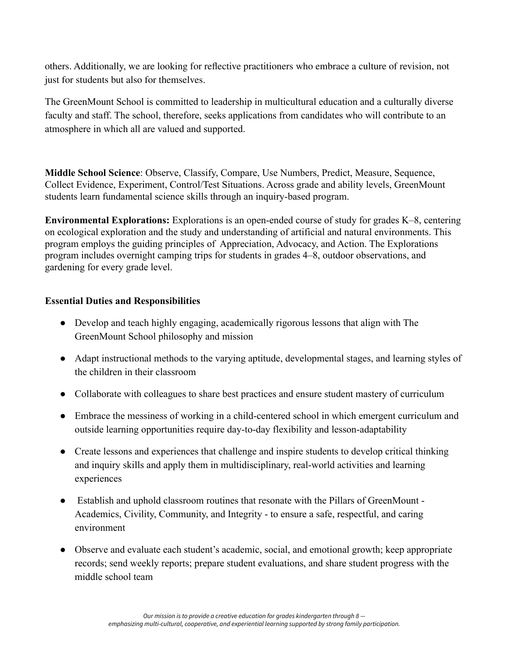others. Additionally, we are looking for reflective practitioners who embrace a culture of revision, not just for students but also for themselves.

The GreenMount School is committed to leadership in multicultural education and a culturally diverse faculty and staff. The school, therefore, seeks applications from candidates who will contribute to an atmosphere in which all are valued and supported.

**Middle School Science**: Observe, Classify, Compare, Use Numbers, Predict, Measure, Sequence, Collect Evidence, Experiment, Control/Test Situations. Across grade and ability levels, GreenMount students learn fundamental science skills through an inquiry-based program.

**Environmental Explorations:** Explorations is an open-ended course of study for grades K–8, centering on ecological exploration and the study and understanding of artificial and natural environments. This program employs the guiding principles of Appreciation, Advocacy, and Action. The Explorations program includes overnight camping trips for students in grades 4–8, outdoor observations, and gardening for every grade level.

### **Essential Duties and Responsibilities**

- Develop and teach highly engaging, academically rigorous lessons that align with The GreenMount School philosophy and mission
- Adapt instructional methods to the varying aptitude, developmental stages, and learning styles of the children in their classroom
- Collaborate with colleagues to share best practices and ensure student mastery of curriculum
- Embrace the messiness of working in a child-centered school in which emergent curriculum and outside learning opportunities require day-to-day flexibility and lesson-adaptability
- Create lessons and experiences that challenge and inspire students to develop critical thinking and inquiry skills and apply them in multidisciplinary, real-world activities and learning experiences
- Establish and uphold classroom routines that resonate with the Pillars of GreenMount Academics, Civility, Community, and Integrity - to ensure a safe, respectful, and caring environment
- Observe and evaluate each student's academic, social, and emotional growth; keep appropriate records; send weekly reports; prepare student evaluations, and share student progress with the middle school team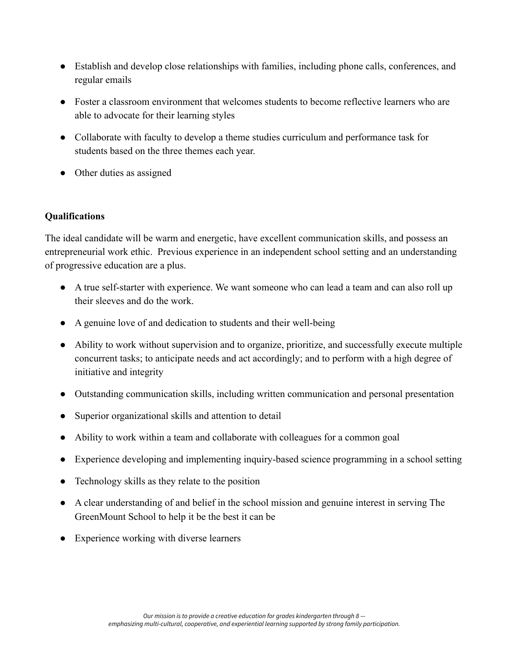- Establish and develop close relationships with families, including phone calls, conferences, and regular emails
- Foster a classroom environment that welcomes students to become reflective learners who are able to advocate for their learning styles
- Collaborate with faculty to develop a theme studies curriculum and performance task for students based on the three themes each year.
- Other duties as assigned

## **Qualifications**

The ideal candidate will be warm and energetic, have excellent communication skills, and possess an entrepreneurial work ethic. Previous experience in an independent school setting and an understanding of progressive education are a plus.

- A true self-starter with experience. We want someone who can lead a team and can also roll up their sleeves and do the work.
- A genuine love of and dedication to students and their well-being
- Ability to work without supervision and to organize, prioritize, and successfully execute multiple concurrent tasks; to anticipate needs and act accordingly; and to perform with a high degree of initiative and integrity
- Outstanding communication skills, including written communication and personal presentation
- Superior organizational skills and attention to detail
- Ability to work within a team and collaborate with colleagues for a common goal
- Experience developing and implementing inquiry-based science programming in a school setting
- Technology skills as they relate to the position
- A clear understanding of and belief in the school mission and genuine interest in serving The GreenMount School to help it be the best it can be
- Experience working with diverse learners